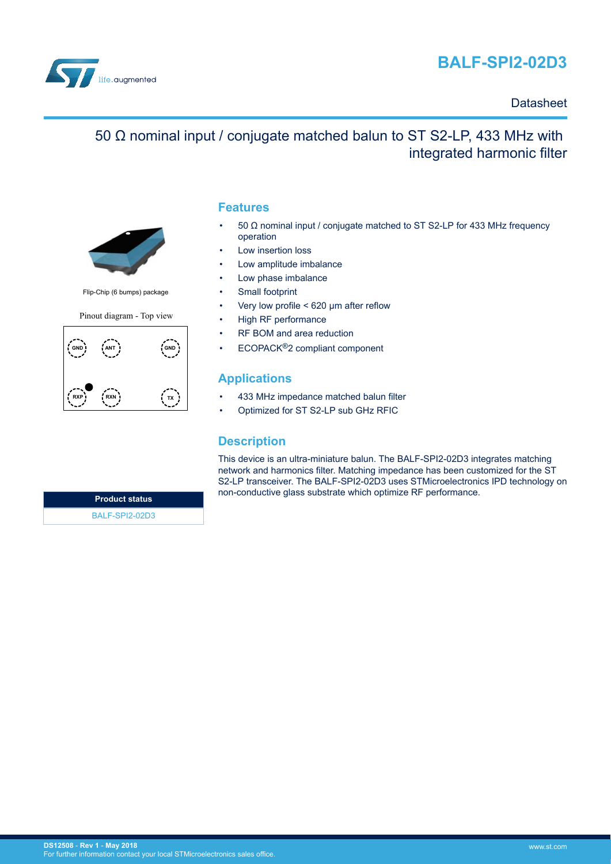



### **Datasheet**

## 50 Ω nominal input / conjugate matched balun to ST S2-LP, 433 MHz with integrated harmonic filter



Flip-Chip (6 bumps) package

Pinout diagram - Top view



#### **Features**

- 50 Ω nominal input / conjugate matched to ST S2-LP for 433 MHz frequency operation
- Low insertion loss
- Low amplitude imbalance
- Low phase imbalance
- Small footprint
- Very low profile < 620 μm after reflow
- High RF performance
- RF BOM and area reduction
- ECOPACK®2 compliant component

### **Applications**

- 433 MHz impedance matched balun filter
- Optimized for ST S2-LP sub GHz RFIC

### **Description**

This device is an ultra-miniature balun. The BALF-SPI2-02D3 integrates matching network and harmonics filter. Matching impedance has been customized for the ST S2-LP transceiver. The BALF-SPI2-02D3 uses STMicroelectronics IPD technology on non-conductive glass substrate which optimize RF performance.

**Product status** [BALF-SPI2-02D3](http://www.st.com/en/product/balf-spi2-02d3)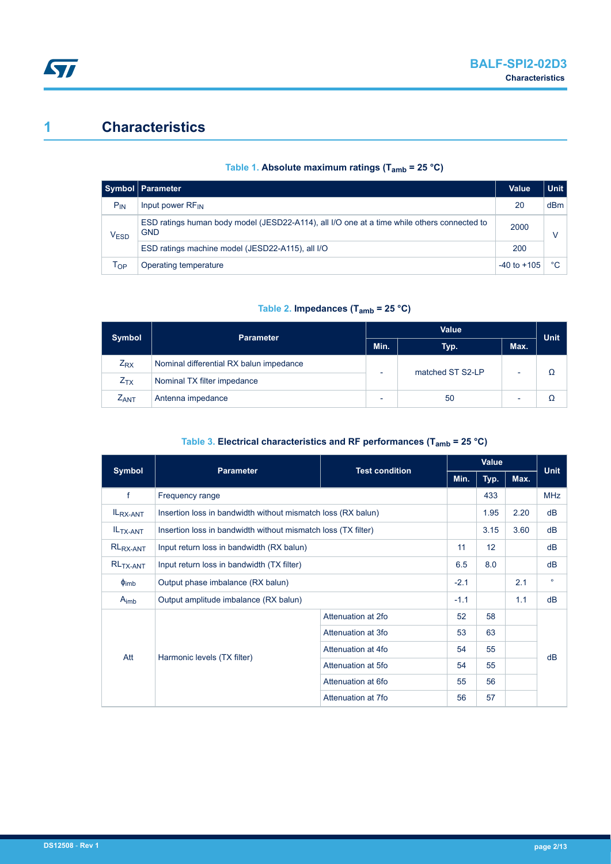## **1 Characteristics**

|                             | Symbol   Parameter                                                                                        | <b>Value</b>    | <b>Unit</b> |
|-----------------------------|-----------------------------------------------------------------------------------------------------------|-----------------|-------------|
| $P_{IN}$                    | Input power RF <sub>IN</sub>                                                                              | 20              | dBm         |
| $\mathsf{V}_{\mathsf{ESD}}$ | ESD ratings human body model (JESD22-A114), all I/O one at a time while others connected to<br><b>GND</b> |                 |             |
|                             | ESD ratings machine model (JESD22-A115), all I/O                                                          |                 |             |
| Тор                         | Operating temperature                                                                                     | $-40$ to $+105$ | °C          |

#### **Table 1. Absolute maximum ratings (Tamb = 25 °C)**

#### **Table 2. Impedances (Tamb = 25 °C)**

| <b>Symbol</b> | <b>Parameter</b>                        | <b>Value</b>             |                  |      |             |  |
|---------------|-----------------------------------------|--------------------------|------------------|------|-------------|--|
|               |                                         |                          | Typ.             | Max. | <b>Unit</b> |  |
| $Z_{\rm RX}$  | Nominal differential RX balun impedance |                          | matched ST S2-LP |      |             |  |
| $Z_{TX}$      | Nominal TX filter impedance             |                          |                  |      |             |  |
| <b>ZANT</b>   | Antenna impedance                       | $\overline{\phantom{0}}$ | 50               |      |             |  |

#### **Table 3. Electrical characteristics and RF performances (Tamb = 25 °C)**

| <b>Symbol</b>         | <b>Parameter</b>                                              | <b>Test condition</b> | Value  |      |      | <b>Unit</b> |
|-----------------------|---------------------------------------------------------------|-----------------------|--------|------|------|-------------|
|                       |                                                               |                       | Min.   | Typ. | Max. |             |
| f                     | Frequency range                                               |                       |        | 433  |      | <b>MHz</b>  |
| IL <sub>RX-ANT</sub>  | Insertion loss in bandwidth without mismatch loss (RX balun)  |                       |        | 1.95 | 2.20 | dB          |
| IL <sub>TX-ANT</sub>  | Insertion loss in bandwidth without mismatch loss (TX filter) |                       |        | 3.15 | 3.60 | dB          |
| $RL_{RX-ANT}$         | Input return loss in bandwidth (RX balun)                     |                       |        | 12   |      | dB          |
| RL <sub>TX-ANT</sub>  | Input return loss in bandwidth (TX filter)                    |                       |        | 8.0  |      | dB          |
| $\phi$ <sub>imb</sub> | Output phase imbalance (RX balun)                             |                       |        |      | 2.1  | $\circ$     |
| $A_{\text{imb}}$      | Output amplitude imbalance (RX balun)                         |                       | $-1.1$ |      | 1.1  | dB          |
|                       | Harmonic levels (TX filter)                                   | Attenuation at 2fo    | 52     | 58   |      | dB          |
|                       |                                                               | Attenuation at 3fo    | 53     | 63   |      |             |
| Att                   |                                                               | Attenuation at 4fo    | 54     | 55   |      |             |
|                       |                                                               | Attenuation at 5fo    | 54     | 55   |      |             |
|                       |                                                               | Attenuation at 6fo    | 55     | 56   |      |             |
|                       |                                                               | Attenuation at 7fo    | 56     | 57   |      |             |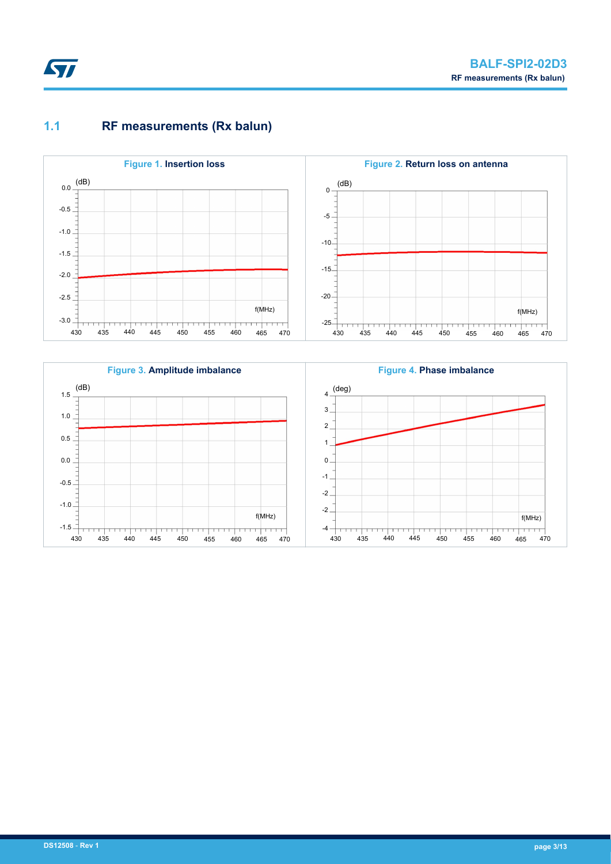

## **1.1 RF measurements (Rx balun)**



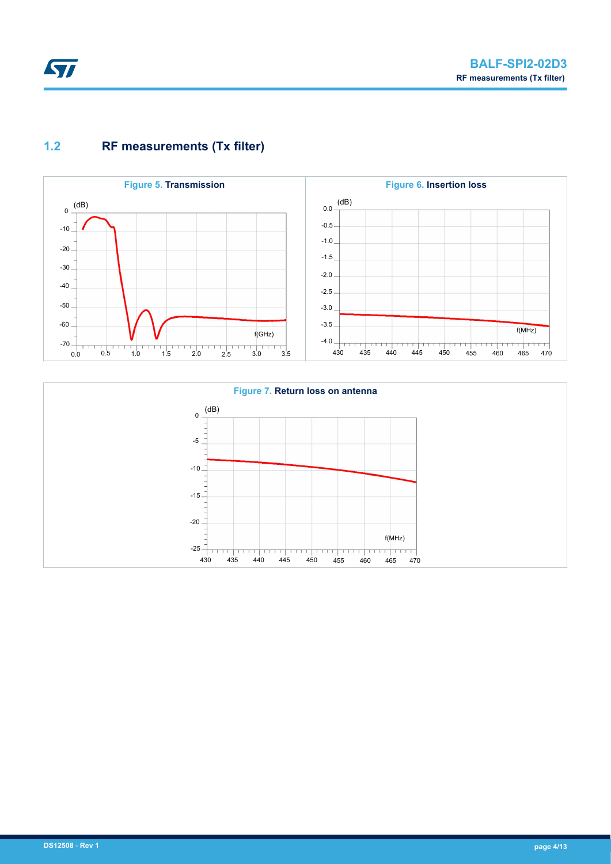# ST

## **1.2 RF measurements (Tx filter)**



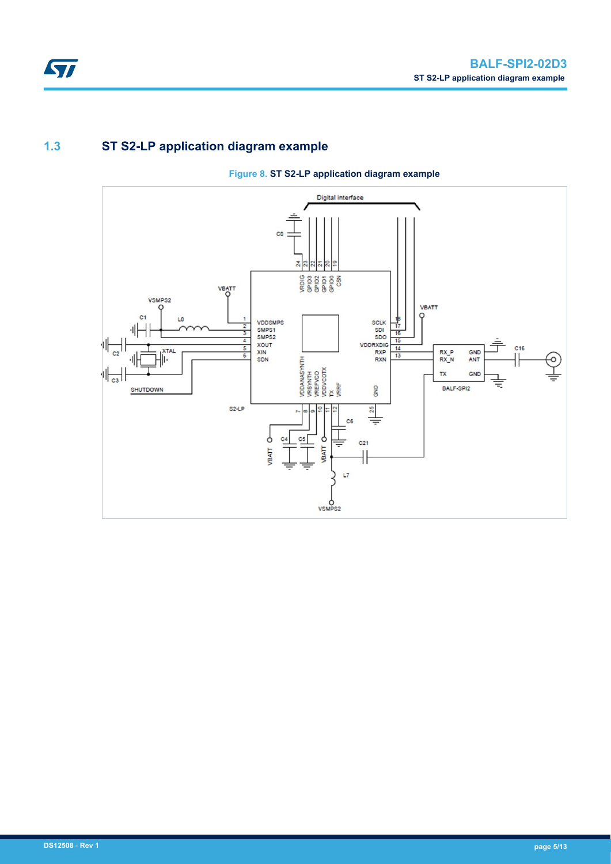## **1.3 ST S2-LP application diagram example**



#### **Figure 8. ST S2-LP application diagram example**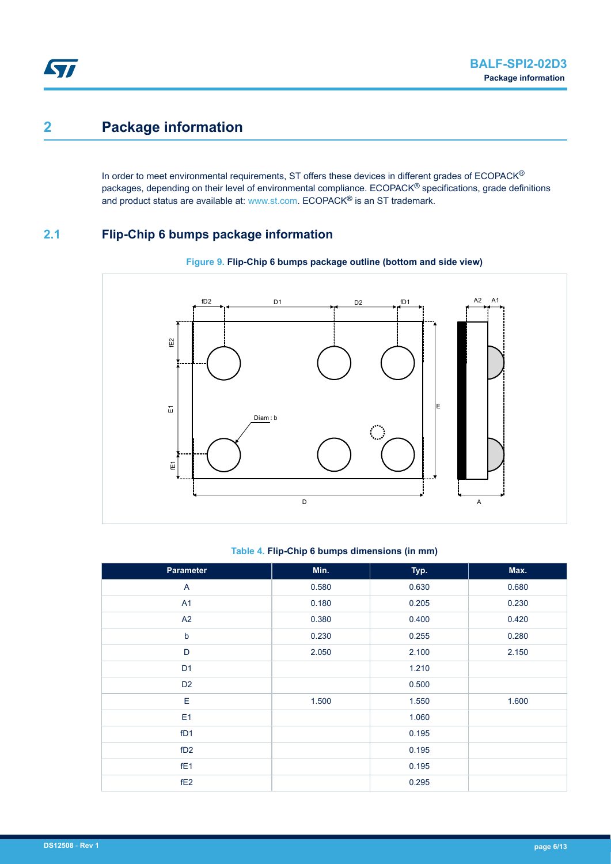## **2 Package information**

In order to meet environmental requirements, ST offers these devices in different grades of ECOPACK® packages, depending on their level of environmental compliance. ECOPACK® specifications, grade definitions and product status are available at: [www.st.com.](http://www.st.com) ECOPACK® is an ST trademark.

### **2.1 Flip-Chip 6 bumps package information**



#### **Figure 9. Flip-Chip 6 bumps package outline (bottom and side view)**

#### **Table 4. Flip-Chip 6 bumps dimensions (in mm)**

| Parameter       | Min.  | Typ.  | Max.  |
|-----------------|-------|-------|-------|
| A               | 0.580 | 0.630 | 0.680 |
| A1              | 0.180 | 0.205 | 0.230 |
| A2              | 0.380 | 0.400 | 0.420 |
| $\sf b$         | 0.230 | 0.255 | 0.280 |
| D               | 2.050 | 2.100 | 2.150 |
| D <sub>1</sub>  |       | 1.210 |       |
| D <sub>2</sub>  |       | 0.500 |       |
| E               | 1.500 | 1.550 | 1.600 |
| E <sub>1</sub>  |       | 1.060 |       |
| fD1             |       | 0.195 |       |
| fD2             |       | 0.195 |       |
| fE <sub>1</sub> |       | 0.195 |       |
| fE <sub>2</sub> |       | 0.295 |       |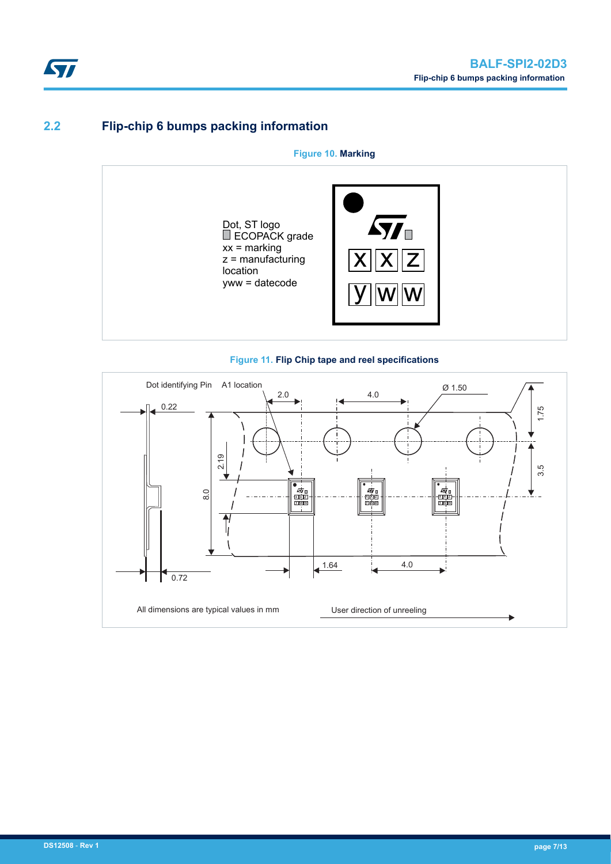## **2.2 Flip-chip 6 bumps packing information**

**Figure 10. Marking**





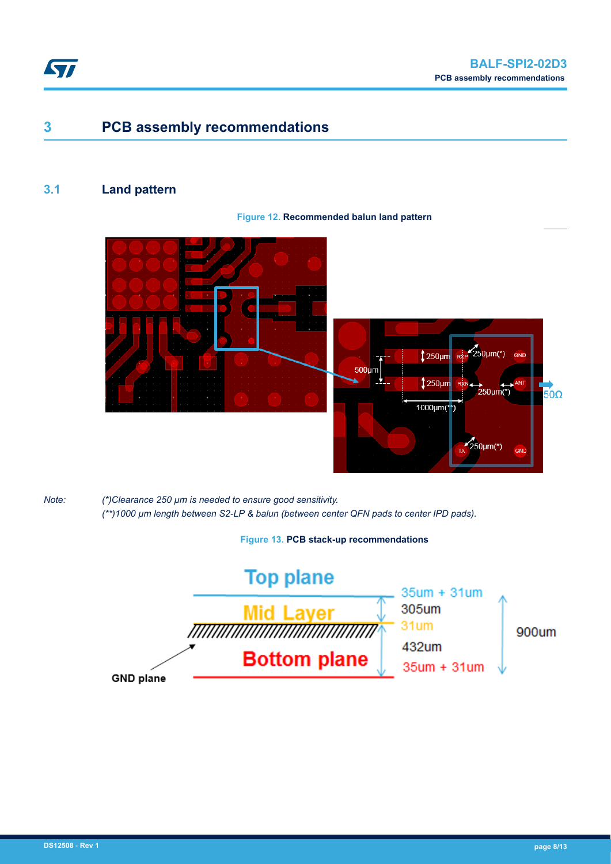

## **3 PCB assembly recommendations**

### **3.1 Land pattern**

#### **Figure 12. Recommended balun land pattern**





*Note: (\*)Clearance 250 µm is needed to ensure good sensitivity. (\*\*)1000 µm length between S2-LP & balun (between center QFN pads to center IPD pads).*

**Figure 13. PCB stack-up recommendations**

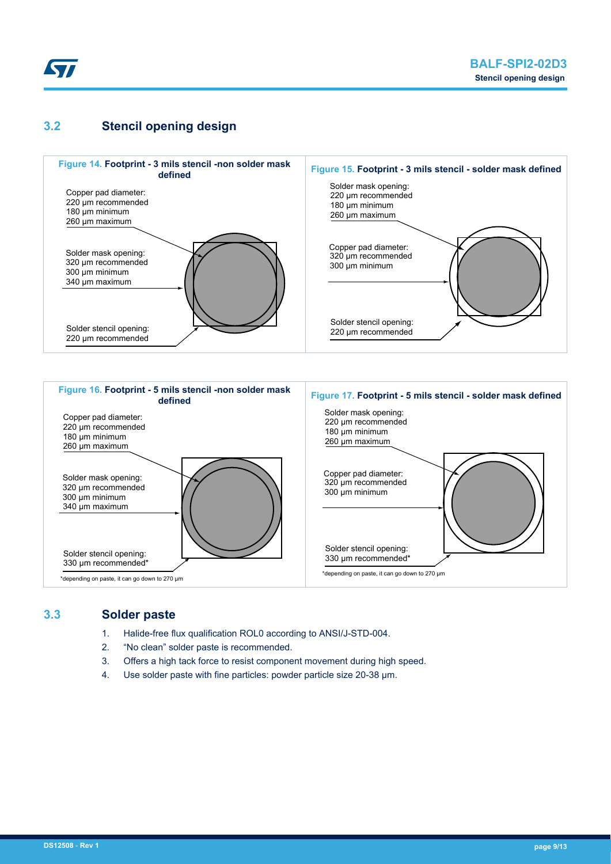

### **3.2 Stencil opening design**



\*depending on paste, it can go down to 270 µm

330 µm recommended\*

330 µm recommended\*

\*depending on paste, it can go down to 270 µm

#### **3.3 Solder paste**

- 1. Halide-free flux qualification ROL0 according to ANSI/J-STD-004.
- 2. "No clean" solder paste is recommended.
- 3. Offers a high tack force to resist component movement during high speed.
- 4. Use solder paste with fine particles: powder particle size 20-38 µm.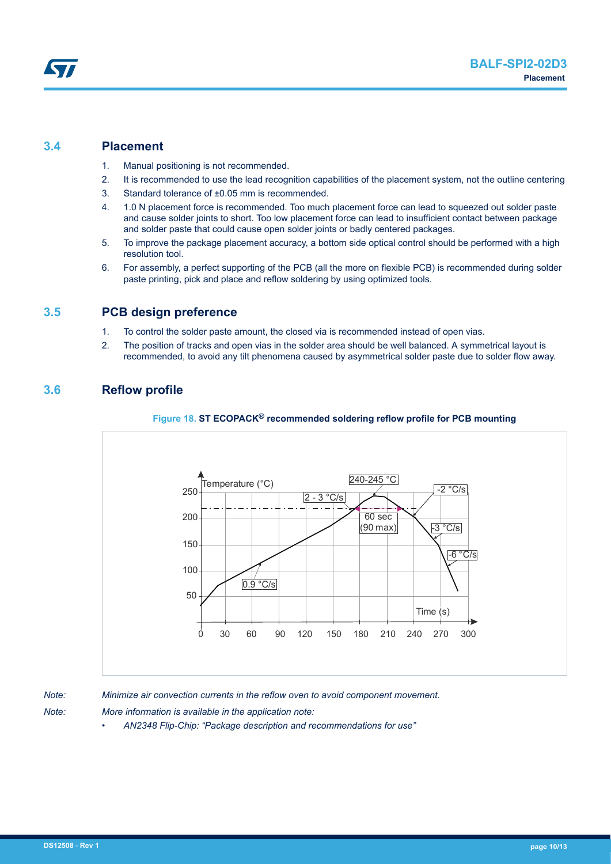### **3.4 Placement**

- 1. Manual positioning is not recommended.
- 2. It is recommended to use the lead recognition capabilities of the placement system, not the outline centering
- 3. Standard tolerance of ±0.05 mm is recommended.
- 4. 1.0 N placement force is recommended. Too much placement force can lead to squeezed out solder paste and cause solder joints to short. Too low placement force can lead to insufficient contact between package and solder paste that could cause open solder joints or badly centered packages.
- 5. To improve the package placement accuracy, a bottom side optical control should be performed with a high resolution tool.
- 6. For assembly, a perfect supporting of the PCB (all the more on flexible PCB) is recommended during solder paste printing, pick and place and reflow soldering by using optimized tools.

### **3.5 PCB design preference**

- 1. To control the solder paste amount, the closed via is recommended instead of open vias.
- 2. The position of tracks and open vias in the solder area should be well balanced. A symmetrical layout is recommended, to avoid any tilt phenomena caused by asymmetrical solder paste due to solder flow away.

### **3.6 Reflow profile**





- *Note: More information is available in the application note:*
	- *AN2348 Flip-Chip: "Package description and recommendations for use"*



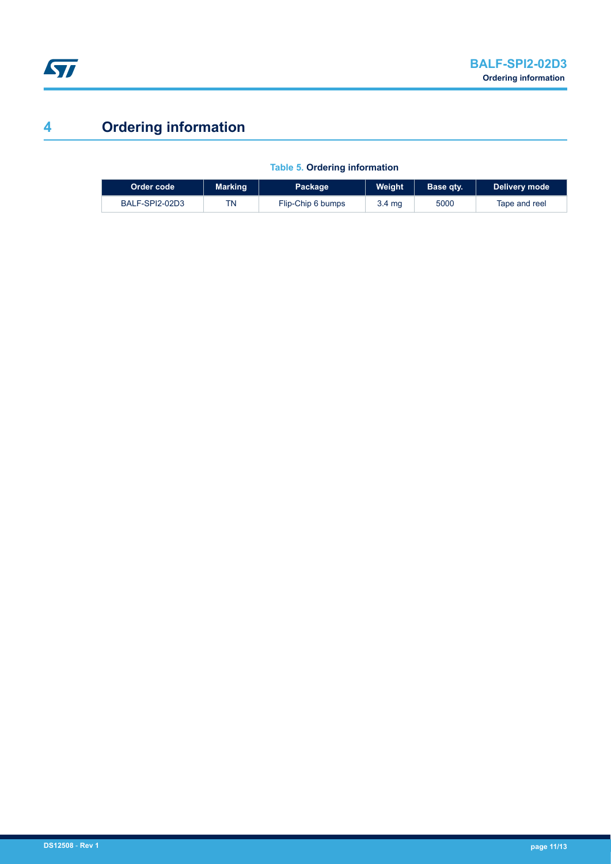

## **4 Ordering information**

| Order code     | Marking | Package           | Weiaht | Base qtv. | Delivery mode |
|----------------|---------|-------------------|--------|-----------|---------------|
| BALF-SPI2-02D3 | TN      | Flip-Chip 6 bumps | 3.4 mg | 5000      | Tape and reel |

**Table 5. Ordering information**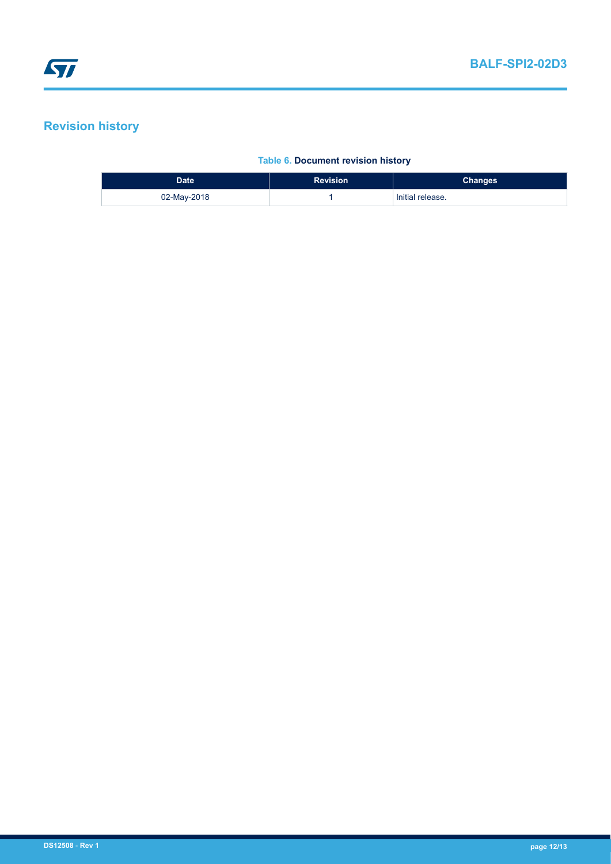## **Revision history**

#### **Table 6. Document revision history**

| Date <sup>'</sup> | <b>Revision</b> | <b>Changes</b>   |
|-------------------|-----------------|------------------|
| 02-May-2018       |                 | Initial release. |